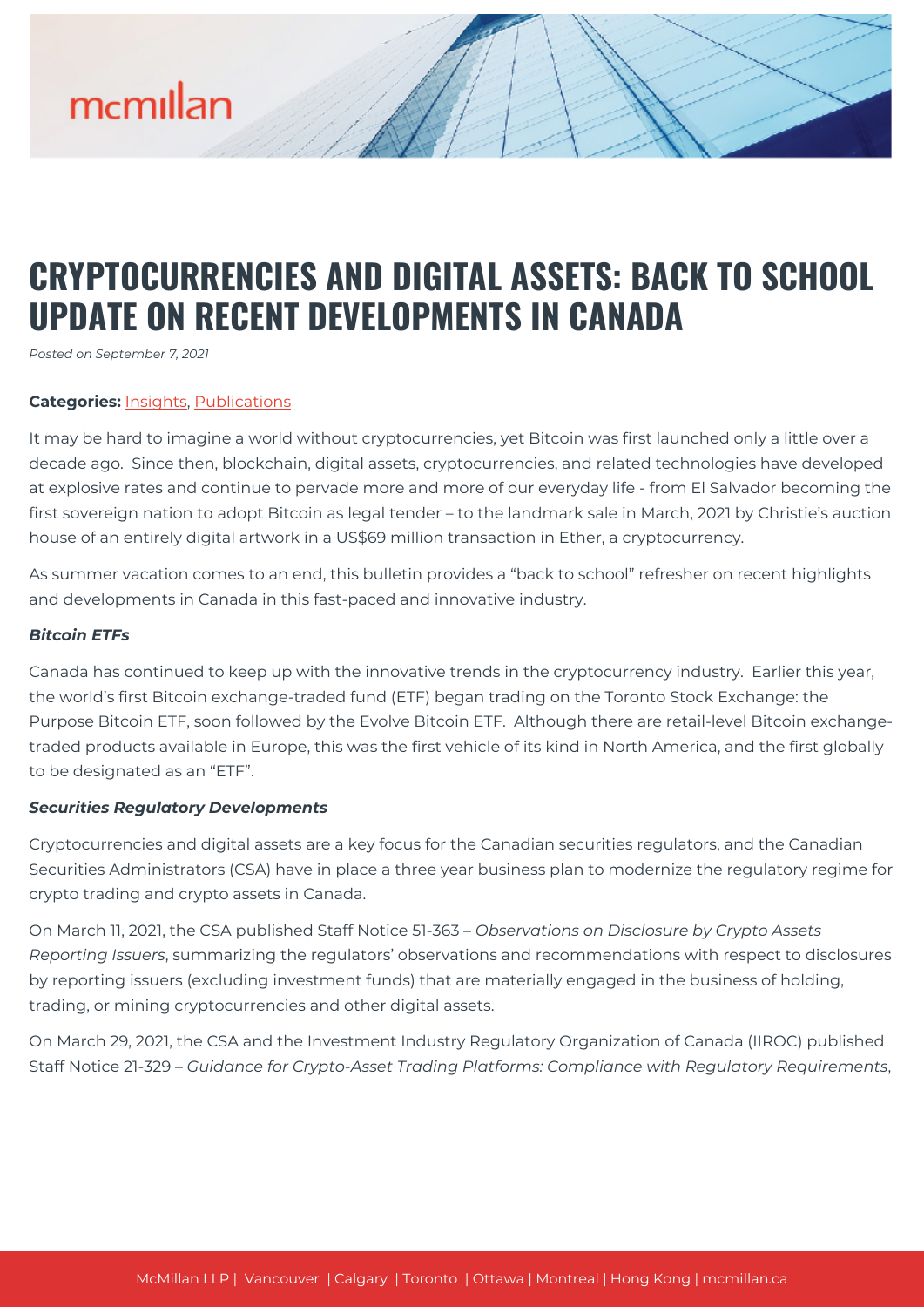# mcmillan

# **CRYPTOCURRENCIES AND DIGITAL ASSETS: BACK TO SCHOOL UPDATE ON RECENT DEVELOPMENTS IN CANADA**

*Posted on September 7, 2021*

### **Categories:** [Insights,](https://mcmillan.ca/insights/) [Publications](https://mcmillan.ca/insights/publications/)

It may be hard to imagine a world without cryptocurrencies, yet Bitcoin was first launched only a little over a decade ago. Since then, blockchain, digital assets, cryptocurrencies, and related technologies have developed at explosive rates and continue to pervade more and more of our everyday life - from El Salvador becoming the first sovereign nation to adopt Bitcoin as legal tender – to the landmark sale in March, 2021 by Christie's auction house of an entirely digital artwork in a US\$69 million transaction in Ether, a cryptocurrency.

As summer vacation comes to an end, this bulletin provides a "back to school" refresher on recent highlights and developments in Canada in this fast-paced and innovative industry.

### *Bitcoin ETFs*

Canada has continued to keep up with the innovative trends in the cryptocurrency industry. Earlier this year, the world's first Bitcoin exchange-traded fund (ETF) began trading on the Toronto Stock Exchange: the Purpose Bitcoin ETF, soon followed by the Evolve Bitcoin ETF. Although there are retail-level Bitcoin exchangetraded products available in Europe, this was the first vehicle of its kind in North America, and the first globally to be designated as an "ETF".

#### *Securities Regulatory Developments*

Cryptocurrencies and digital assets are a key focus for the Canadian securities regulators, and the Canadian Securities Administrators (CSA) have in place a three year business plan to modernize the regulatory regime for crypto trading and crypto assets in Canada.

On March 11, 2021, the CSA published Staff Notice 51-363 – *Observations on Disclosure by Crypto Assets Reporting Issuers*, summarizing the regulators' observations and recommendations with respect to disclosures by reporting issuers (excluding investment funds) that are materially engaged in the business of holding, trading, or mining cryptocurrencies and other digital assets.

On March 29, 2021, the CSA and the Investment Industry Regulatory Organization of Canada (IIROC) published Staff Notice 21-329 – *Guidance for Crypto-Asset Trading Platforms: Compliance with Regulatory Requirements*,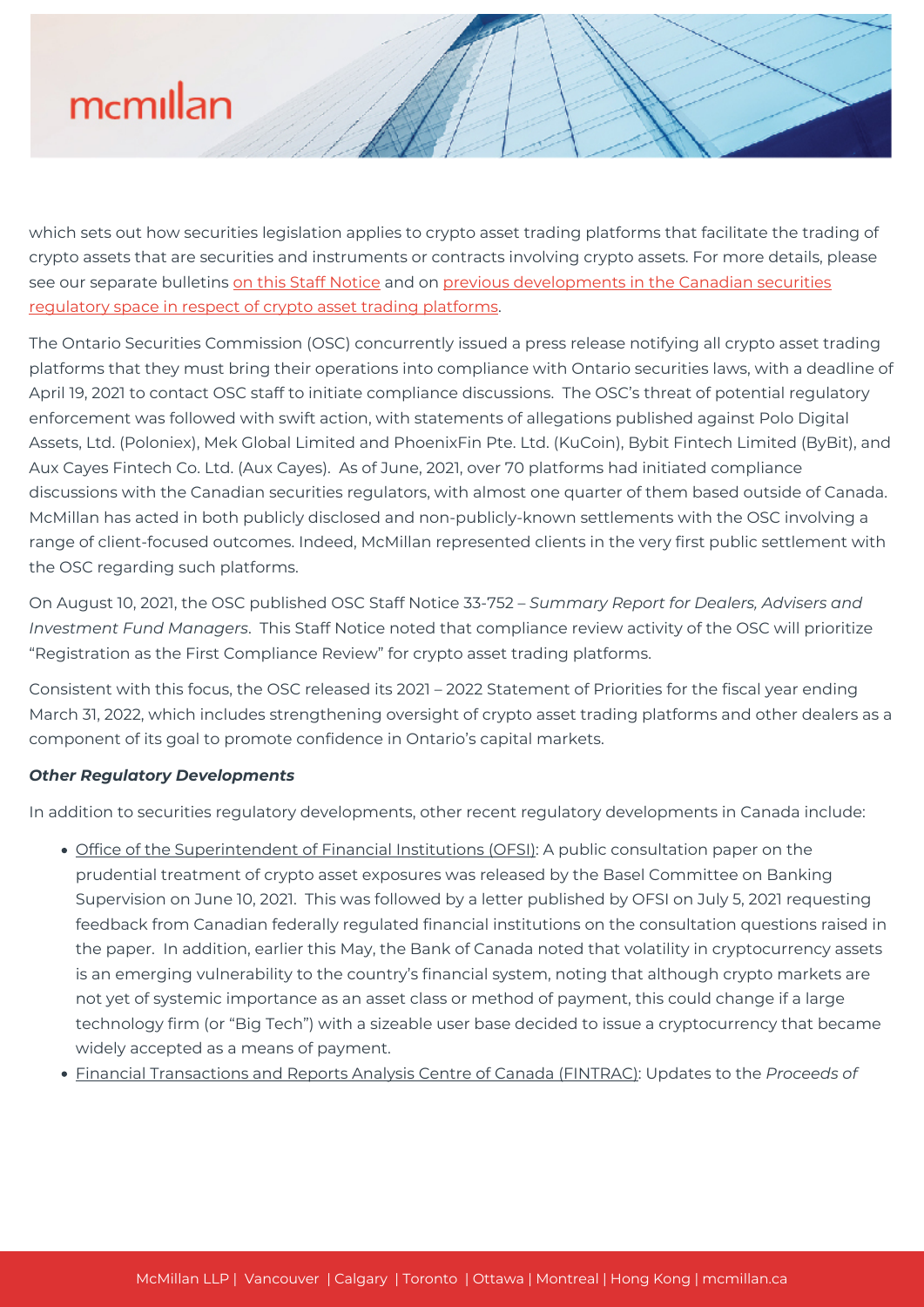# mcmillan

which sets out how securities legislation applies to crypto asset trading platforms that facilitate the trading of crypto assets that are securities and instruments or contracts involving crypto assets. For more details, please see our separate bulletins [on this Staff Notice](https://mcmillan.ca/insights/canadian-regulatory-direction-and-pressure-for-cryptocurrency-platforms/) and on [previous developments in the Canadian securities](https://mcmillan.ca/insights/cryptocurrency-securities-law-update-platform-framework-and-service-providers/) [regulatory space in respect of crypto asset trading platforms](https://mcmillan.ca/insights/cryptocurrency-securities-law-update-platform-framework-and-service-providers/).

The Ontario Securities Commission (OSC) concurrently issued a press release notifying all crypto asset trading platforms that they must bring their operations into compliance with Ontario securities laws, with a deadline of April 19, 2021 to contact OSC staff to initiate compliance discussions. The OSC's threat of potential regulatory enforcement was followed with swift action, with statements of allegations published against Polo Digital Assets, Ltd. (Poloniex), Mek Global Limited and PhoenixFin Pte. Ltd. (KuCoin), Bybit Fintech Limited (ByBit), and Aux Cayes Fintech Co. Ltd. (Aux Cayes). As of June, 2021, over 70 platforms had initiated compliance discussions with the Canadian securities regulators, with almost one quarter of them based outside of Canada. McMillan has acted in both publicly disclosed and non-publicly-known settlements with the OSC involving a range of client-focused outcomes. Indeed, McMillan represented clients in the very first public settlement with the OSC regarding such platforms.

On August 10, 2021, the OSC published OSC Staff Notice 33-752 – *Summary Report for Dealers, Advisers and Investment Fund Managers*. This Staff Notice noted that compliance review activity of the OSC will prioritize "Registration as the First Compliance Review" for crypto asset trading platforms.

Consistent with this focus, the OSC released its 2021 – 2022 Statement of Priorities for the fiscal year ending March 31, 2022, which includes strengthening oversight of crypto asset trading platforms and other dealers as a component of its goal to promote confidence in Ontario's capital markets.

# *Other Regulatory Developments*

In addition to securities regulatory developments, other recent regulatory developments in Canada include:

- Office of the Superintendent of Financial Institutions (OFSI): A public consultation paper on the prudential treatment of crypto asset exposures was released by the Basel Committee on Banking Supervision on June 10, 2021. This was followed by a letter published by OFSI on July 5, 2021 requesting feedback from Canadian federally regulated financial institutions on the consultation questions raised in the paper. In addition, earlier this May, the Bank of Canada noted that volatility in cryptocurrency assets is an emerging vulnerability to the country's financial system, noting that although crypto markets are not yet of systemic importance as an asset class or method of payment, this could change if a large technology firm (or "Big Tech") with a sizeable user base decided to issue a cryptocurrency that became widely accepted as a means of payment.
- Financial Transactions and Reports Analysis Centre of Canada (FINTRAC): Updates to the *Proceeds of*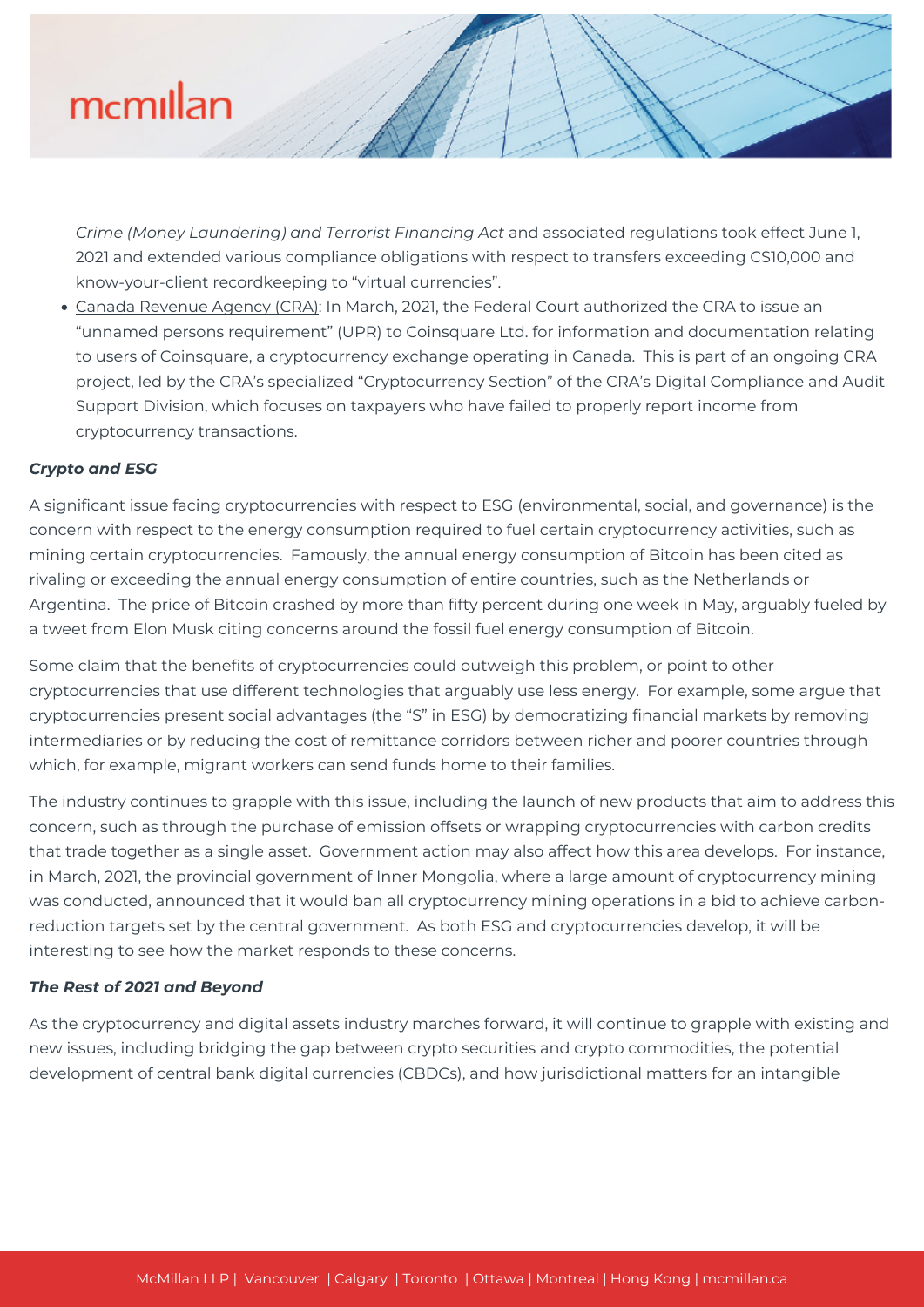# mcmillan

*Crime (Money Laundering) and Terrorist Financing Act* and associated regulations took effect June 1, 2021 and extended various compliance obligations with respect to transfers exceeding C\$10,000 and know-your-client recordkeeping to "virtual currencies".

Canada Revenue Agency (CRA): In March, 2021, the Federal Court authorized the CRA to issue an "unnamed persons requirement" (UPR) to Coinsquare Ltd. for information and documentation relating to users of Coinsquare, a cryptocurrency exchange operating in Canada. This is part of an ongoing CRA project, led by the CRA's specialized "Cryptocurrency Section" of the CRA's Digital Compliance and Audit Support Division, which focuses on taxpayers who have failed to properly report income from cryptocurrency transactions.

## *Crypto and ESG*

A significant issue facing cryptocurrencies with respect to ESG (environmental, social, and governance) is the concern with respect to the energy consumption required to fuel certain cryptocurrency activities, such as mining certain cryptocurrencies. Famously, the annual energy consumption of Bitcoin has been cited as rivaling or exceeding the annual energy consumption of entire countries, such as the Netherlands or Argentina. The price of Bitcoin crashed by more than fifty percent during one week in May, arguably fueled by a tweet from Elon Musk citing concerns around the fossil fuel energy consumption of Bitcoin.

Some claim that the benefits of cryptocurrencies could outweigh this problem, or point to other cryptocurrencies that use different technologies that arguably use less energy. For example, some argue that cryptocurrencies present social advantages (the "S" in ESG) by democratizing financial markets by removing intermediaries or by reducing the cost of remittance corridors between richer and poorer countries through which, for example, migrant workers can send funds home to their families.

The industry continues to grapple with this issue, including the launch of new products that aim to address this concern, such as through the purchase of emission offsets or wrapping cryptocurrencies with carbon credits that trade together as a single asset. Government action may also affect how this area develops. For instance, in March, 2021, the provincial government of Inner Mongolia, where a large amount of cryptocurrency mining was conducted, announced that it would ban all cryptocurrency mining operations in a bid to achieve carbonreduction targets set by the central government. As both ESG and cryptocurrencies develop, it will be interesting to see how the market responds to these concerns.

### *The Rest of 2021 and Beyond*

As the cryptocurrency and digital assets industry marches forward, it will continue to grapple with existing and new issues, including bridging the gap between crypto securities and crypto commodities, the potential development of central bank digital currencies (CBDCs), and how jurisdictional matters for an intangible